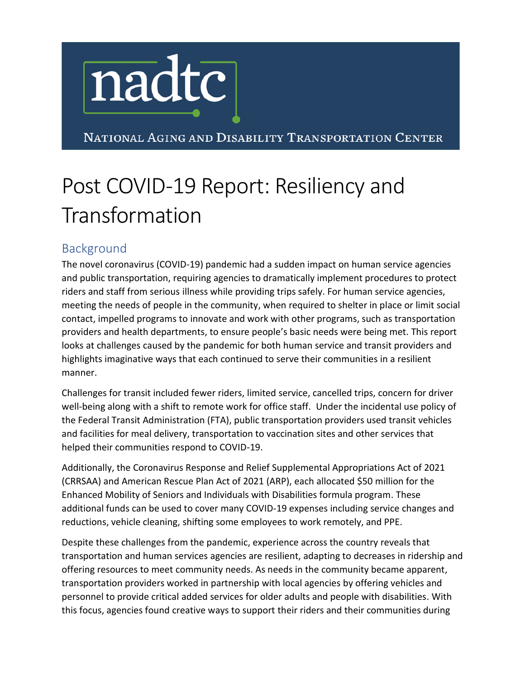

NATIONAL AGING AND DISABILITY TRANSPORTATION CENTER

# Post COVID-19 Report: Resiliency and Transformation

### Background

The novel coronavirus (COVID-19) pandemic had a sudden impact on human service agencies and public transportation, requiring agencies to dramatically implement procedures to protect riders and staff from serious illness while providing trips safely. For human service agencies, meeting the needs of people in the community, when required to shelter in place or limit social contact, impelled programs to innovate and work with other programs, such as transportation providers and health departments, to ensure people's basic needs were being met. This report looks at challenges caused by the pandemic for both human service and transit providers and highlights imaginative ways that each continued to serve their communities in a resilient manner.

Challenges for transit included fewer riders, limited service, cancelled trips, concern for driver well-being along with a shift to remote work for office staff. Under the incidental use policy of the Federal Transit Administration (FTA), public transportation providers used transit vehicles and facilities for meal delivery, transportation to vaccination sites and other services that helped their communities respond to COVID-19.

Additionally, the Coronavirus Response and Relief Supplemental Appropriations Act of 2021 (CRRSAA) and American Rescue Plan Act of 2021 (ARP), each allocated \$50 million for the Enhanced Mobility of Seniors and Individuals with Disabilities formula program. These additional funds can be used to cover many COVID-19 expenses including service changes and reductions, vehicle cleaning, shifting some employees to work remotely, and PPE.

Despite these challenges from the pandemic, experience across the country reveals that transportation and human services agencies are resilient, adapting to decreases in ridership and offering resources to meet community needs. As needs in the community became apparent, transportation providers worked in partnership with local agencies by offering vehicles and personnel to provide critical added services for older adults and people with disabilities. With this focus, agencies found creative ways to support their riders and their communities during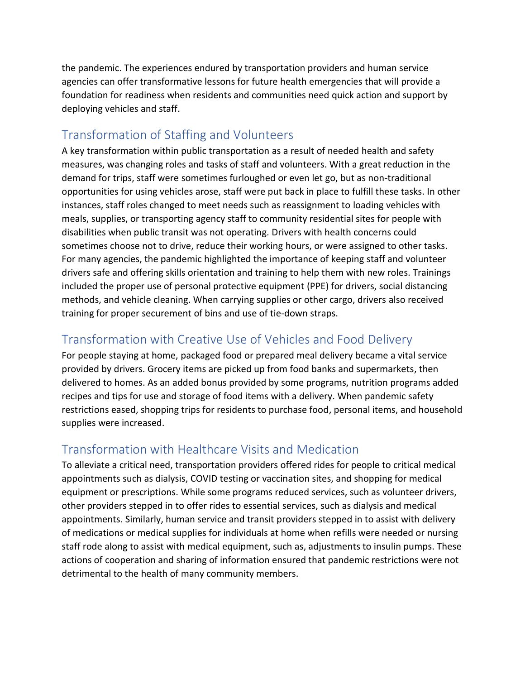the pandemic. The experiences endured by transportation providers and human service agencies can offer transformative lessons for future health emergencies that will provide a foundation for readiness when residents and communities need quick action and support by deploying vehicles and staff.

# Transformation of Staffing and Volunteers

A key transformation within public transportation as a result of needed health and safety measures, was changing roles and tasks of staff and volunteers. With a great reduction in the demand for trips, staff were sometimes furloughed or even let go, but as non-traditional opportunities for using vehicles arose, staff were put back in place to fulfill these tasks. In other instances, staff roles changed to meet needs such as reassignment to loading vehicles with meals, supplies, or transporting agency staff to community residential sites for people with disabilities when public transit was not operating. Drivers with health concerns could sometimes choose not to drive, reduce their working hours, or were assigned to other tasks. For many agencies, the pandemic highlighted the importance of keeping staff and volunteer drivers safe and offering skills orientation and training to help them with new roles. Trainings included the proper use of personal protective equipment (PPE) for drivers, social distancing methods, and vehicle cleaning. When carrying supplies or other cargo, drivers also received training for proper securement of bins and use of tie-down straps.

#### Transformation with Creative Use of Vehicles and Food Delivery

For people staying at home, packaged food or prepared meal delivery became a vital service provided by drivers. Grocery items are picked up from food banks and supermarkets, then delivered to homes. As an added bonus provided by some programs, nutrition programs added recipes and tips for use and storage of food items with a delivery. When pandemic safety restrictions eased, shopping trips for residents to purchase food, personal items, and household supplies were increased.

# Transformation with Healthcare Visits and Medication

To alleviate a critical need, transportation providers offered rides for people to critical medical appointments such as dialysis, COVID testing or vaccination sites, and shopping for medical equipment or prescriptions. While some programs reduced services, such as volunteer drivers, other providers stepped in to offer rides to essential services, such as dialysis and medical appointments. Similarly, human service and transit providers stepped in to assist with delivery of medications or medical supplies for individuals at home when refills were needed or nursing staff rode along to assist with medical equipment, such as, adjustments to insulin pumps. These actions of cooperation and sharing of information ensured that pandemic restrictions were not detrimental to the health of many community members.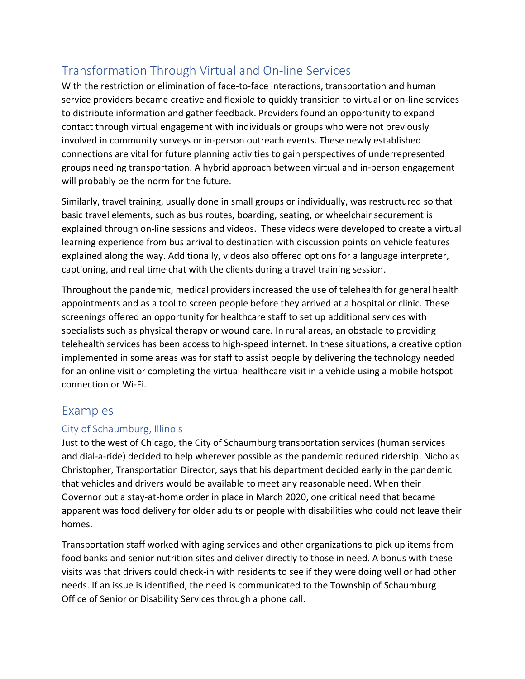# Transformation Through Virtual and On-line Services

With the restriction or elimination of face-to-face interactions, transportation and human service providers became creative and flexible to quickly transition to virtual or on-line services to distribute information and gather feedback. Providers found an opportunity to expand contact through virtual engagement with individuals or groups who were not previously involved in community surveys or in-person outreach events. These newly established connections are vital for future planning activities to gain perspectives of underrepresented groups needing transportation. A hybrid approach between virtual and in-person engagement will probably be the norm for the future.

Similarly, travel training, usually done in small groups or individually, was restructured so that basic travel elements, such as bus routes, boarding, seating, or wheelchair securement is explained through on-line sessions and videos. These videos were developed to create a virtual learning experience from bus arrival to destination with discussion points on vehicle features explained along the way. Additionally, videos also offered options for a language interpreter, captioning, and real time chat with the clients during a travel training session.

Throughout the pandemic, medical providers increased the use of telehealth for general health appointments and as a tool to screen people before they arrived at a hospital or clinic. These screenings offered an opportunity for healthcare staff to set up additional services with specialists such as physical therapy or wound care. In rural areas, an obstacle to providing telehealth services has been access to high-speed internet. In these situations, a creative option implemented in some areas was for staff to assist people by delivering the technology needed for an online visit or completing the virtual healthcare visit in a vehicle using a mobile hotspot connection or Wi-Fi.

#### Examples

#### City of Schaumburg, Illinois

Just to the west of Chicago, the City of Schaumburg transportation services (human services and dial-a-ride) decided to help wherever possible as the pandemic reduced ridership. Nicholas Christopher, Transportation Director, says that his department decided early in the pandemic that vehicles and drivers would be available to meet any reasonable need. When their Governor put a stay-at-home order in place in March 2020, one critical need that became apparent was food delivery for older adults or people with disabilities who could not leave their homes.

Transportation staff worked with aging services and other organizations to pick up items from food banks and senior nutrition sites and deliver directly to those in need. A bonus with these visits was that drivers could check-in with residents to see if they were doing well or had other needs. If an issue is identified, the need is communicated to the Township of Schaumburg Office of Senior or Disability Services through a phone call.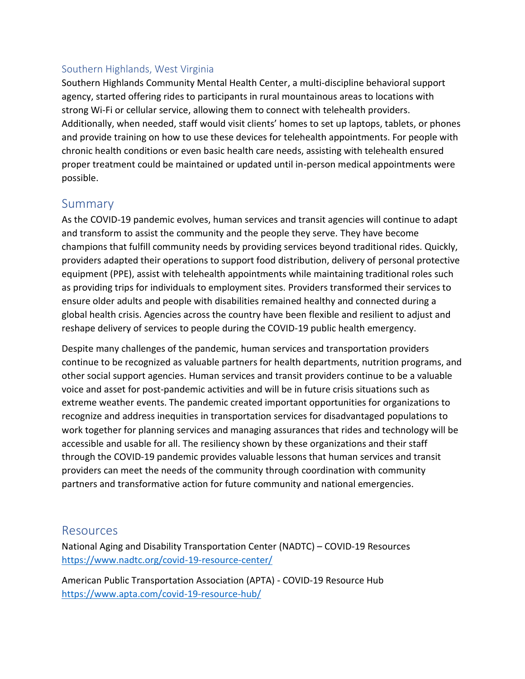#### Southern Highlands, West Virginia

Southern Highlands Community Mental Health Center, a multi-discipline behavioral support agency, started offering rides to participants in rural mountainous areas to locations with strong Wi-Fi or cellular service, allowing them to connect with telehealth providers. Additionally, when needed, staff would visit clients' homes to set up laptops, tablets, or phones and provide training on how to use these devices for telehealth appointments. For people with chronic health conditions or even basic health care needs, assisting with telehealth ensured proper treatment could be maintained or updated until in-person medical appointments were possible.

#### Summary

As the COVID-19 pandemic evolves, human services and transit agencies will continue to adapt and transform to assist the community and the people they serve. They have become champions that fulfill community needs by providing services beyond traditional rides. Quickly, providers adapted their operations to support food distribution, delivery of personal protective equipment (PPE), assist with telehealth appointments while maintaining traditional roles such as providing trips for individuals to employment sites. Providers transformed their services to ensure older adults and people with disabilities remained healthy and connected during a global health crisis. Agencies across the country have been flexible and resilient to adjust and reshape delivery of services to people during the COVID-19 public health emergency.

Despite many challenges of the pandemic, human services and transportation providers continue to be recognized as valuable partners for health departments, nutrition programs, and other social support agencies. Human services and transit providers continue to be a valuable voice and asset for post-pandemic activities and will be in future crisis situations such as extreme weather events. The pandemic created important opportunities for organizations to recognize and address inequities in transportation services for disadvantaged populations to work together for planning services and managing assurances that rides and technology will be accessible and usable for all. The resiliency shown by these organizations and their staff through the COVID-19 pandemic provides valuable lessons that human services and transit providers can meet the needs of the community through coordination with community partners and transformative action for future community and national emergencies.

#### Resources

National Aging and Disability Transportation Center (NADTC) – COVID-19 Resources <https://www.nadtc.org/covid-19-resource-center/>

American Public Transportation Association (APTA) - COVID-19 Resource Hub <https://www.apta.com/covid-19-resource-hub/>